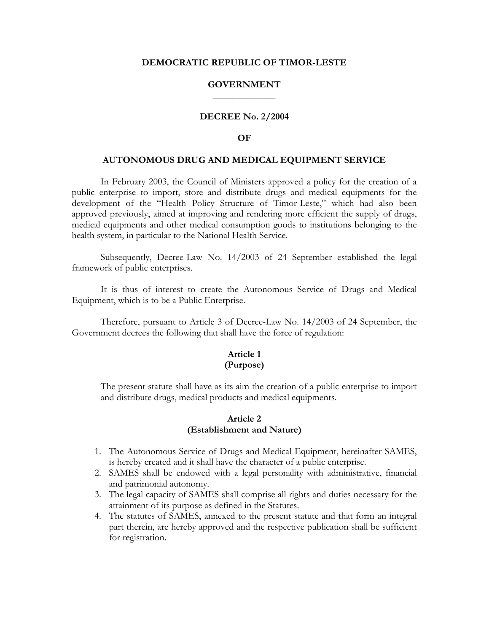#### **DEMOCRATIC REPUBLIC OF TIMOR-LESTE**

#### **GOVERNMENT \_\_\_\_\_\_\_\_\_\_\_\_\_**

#### **DECREE No. 2/2004**

#### **OF**

#### **AUTONOMOUS DRUG AND MEDICAL EQUIPMENT SERVICE**

 In February 2003, the Council of Ministers approved a policy for the creation of a public enterprise to import, store and distribute drugs and medical equipments for the development of the "Health Policy Structure of Timor-Leste," which had also been approved previously, aimed at improving and rendering more efficient the supply of drugs, medical equipments and other medical consumption goods to institutions belonging to the health system, in particular to the National Health Service.

 Subsequently, Decree-Law No. 14/2003 of 24 September established the legal framework of public enterprises.

 It is thus of interest to create the Autonomous Service of Drugs and Medical Equipment, which is to be a Public Enterprise.

Therefore, pursuant to Article 3 of Decree-Law No. 14/2003 of 24 September, the Government decrees the following that shall have the force of regulation:

#### **Article 1 (Purpose)**

The present statute shall have as its aim the creation of a public enterprise to import and distribute drugs, medical products and medical equipments.

#### **Article 2 (Establishment and Nature)**

- 1. The Autonomous Service of Drugs and Medical Equipment, hereinafter SAMES, is hereby created and it shall have the character of a public enterprise.
- 2. SAMES shall be endowed with a legal personality with administrative, financial and patrimonial autonomy.
- 3. The legal capacity of SAMES shall comprise all rights and duties necessary for the attainment of its purpose as defined in the Statutes.
- 4. The statutes of SAMES, annexed to the present statute and that form an integral part therein, are hereby approved and the respective publication shall be sufficient for registration.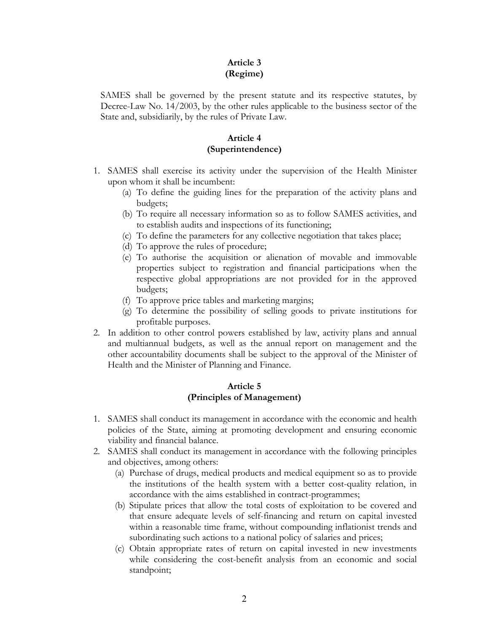## **Article 3 (Regime)**

SAMES shall be governed by the present statute and its respective statutes, by Decree-Law No. 14/2003, by the other rules applicable to the business sector of the State and, subsidiarily, by the rules of Private Law.

## **Article 4 (Superintendence)**

- 1. SAMES shall exercise its activity under the supervision of the Health Minister upon whom it shall be incumbent:
	- (a) To define the guiding lines for the preparation of the activity plans and budgets;
	- (b) To require all necessary information so as to follow SAMES activities, and to establish audits and inspections of its functioning;
	- (c) To define the parameters for any collective negotiation that takes place;
	- (d) To approve the rules of procedure;
	- (e) To authorise the acquisition or alienation of movable and immovable properties subject to registration and financial participations when the respective global appropriations are not provided for in the approved budgets;
	- (f) To approve price tables and marketing margins;
	- (g) To determine the possibility of selling goods to private institutions for profitable purposes.
- 2. In addition to other control powers established by law, activity plans and annual and multiannual budgets, as well as the annual report on management and the other accountability documents shall be subject to the approval of the Minister of Health and the Minister of Planning and Finance.

## **Article 5 (Principles of Management)**

- 1. SAMES shall conduct its management in accordance with the economic and health policies of the State, aiming at promoting development and ensuring economic viability and financial balance.
- 2. SAMES shall conduct its management in accordance with the following principles and objectives, among others:
	- (a) Purchase of drugs, medical products and medical equipment so as to provide the institutions of the health system with a better cost-quality relation, in accordance with the aims established in contract-programmes;
	- (b) Stipulate prices that allow the total costs of exploitation to be covered and that ensure adequate levels of self-financing and return on capital invested within a reasonable time frame, without compounding inflationist trends and subordinating such actions to a national policy of salaries and prices;
	- (c) Obtain appropriate rates of return on capital invested in new investments while considering the cost-benefit analysis from an economic and social standpoint;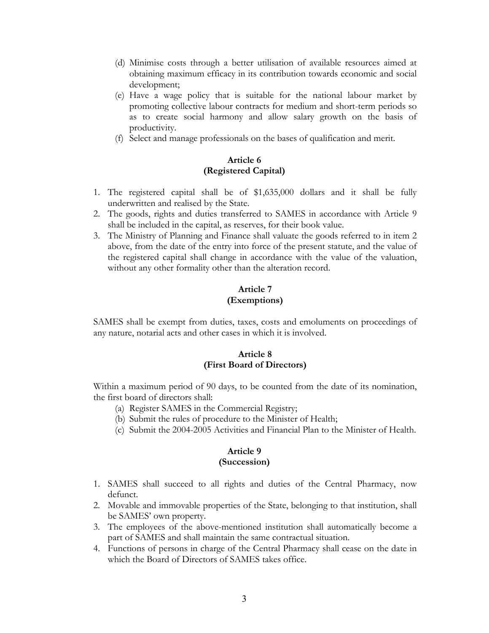- (d) Minimise costs through a better utilisation of available resources aimed at obtaining maximum efficacy in its contribution towards economic and social development;
- (e) Have a wage policy that is suitable for the national labour market by promoting collective labour contracts for medium and short-term periods so as to create social harmony and allow salary growth on the basis of productivity.
- (f) Select and manage professionals on the bases of qualification and merit.

## **Article 6 (Registered Capital)**

- 1. The registered capital shall be of \$1,635,000 dollars and it shall be fully underwritten and realised by the State.
- 2. The goods, rights and duties transferred to SAMES in accordance with Article 9 shall be included in the capital, as reserves, for their book value.
- 3. The Ministry of Planning and Finance shall valuate the goods referred to in item 2 above, from the date of the entry into force of the present statute, and the value of the registered capital shall change in accordance with the value of the valuation, without any other formality other than the alteration record.

## **Article 7 (Exemptions)**

SAMES shall be exempt from duties, taxes, costs and emoluments on proceedings of any nature, notarial acts and other cases in which it is involved.

#### **Article 8 (First Board of Directors)**

Within a maximum period of 90 days, to be counted from the date of its nomination, the first board of directors shall:

- (a) Register SAMES in the Commercial Registry;
- (b) Submit the rules of procedure to the Minister of Health;
- (c) Submit the 2004-2005 Activities and Financial Plan to the Minister of Health.

# **Article 9**

## **(Succession)**

- 1. SAMES shall succeed to all rights and duties of the Central Pharmacy, now defunct.
- 2. Movable and immovable properties of the State, belonging to that institution, shall be SAMES' own property.
- 3. The employees of the above-mentioned institution shall automatically become a part of SAMES and shall maintain the same contractual situation.
- 4. Functions of persons in charge of the Central Pharmacy shall cease on the date in which the Board of Directors of SAMES takes office.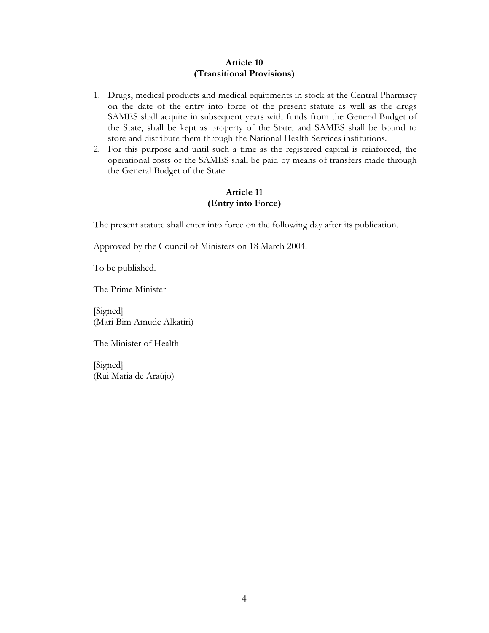## **Article 10 (Transitional Provisions)**

- 1. Drugs, medical products and medical equipments in stock at the Central Pharmacy on the date of the entry into force of the present statute as well as the drugs SAMES shall acquire in subsequent years with funds from the General Budget of the State, shall be kept as property of the State, and SAMES shall be bound to store and distribute them through the National Health Services institutions.
- 2. For this purpose and until such a time as the registered capital is reinforced, the operational costs of the SAMES shall be paid by means of transfers made through the General Budget of the State.

## **Article 11 (Entry into Force)**

The present statute shall enter into force on the following day after its publication.

Approved by the Council of Ministers on 18 March 2004.

To be published.

The Prime Minister

[Signed] (Mari Bim Amude Alkatiri)

The Minister of Health

[Signed] (Rui Maria de Araújo)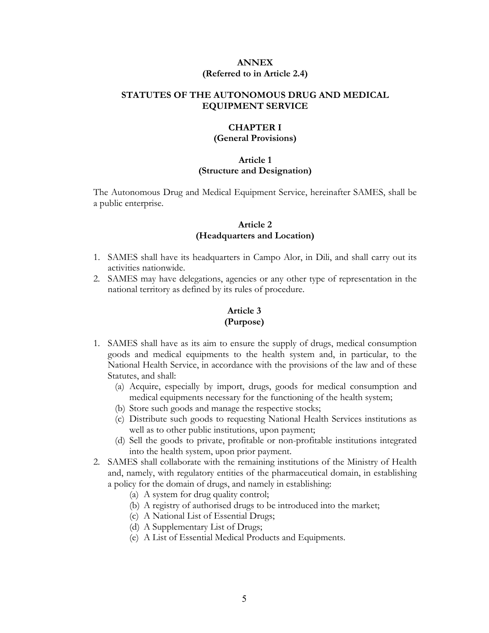#### **ANNEX (Referred to in Article 2.4)**

#### **STATUTES OF THE AUTONOMOUS DRUG AND MEDICAL EQUIPMENT SERVICE**

## **CHAPTER I**

## **(General Provisions)**

#### **Article 1 (Structure and Designation)**

The Autonomous Drug and Medical Equipment Service, hereinafter SAMES, shall be a public enterprise.

## **Article 2 (Headquarters and Location)**

- 1. SAMES shall have its headquarters in Campo Alor, in Dili, and shall carry out its activities nationwide.
- 2. SAMES may have delegations, agencies or any other type of representation in the national territory as defined by its rules of procedure.

## **Article 3 (Purpose)**

- 1. SAMES shall have as its aim to ensure the supply of drugs, medical consumption goods and medical equipments to the health system and, in particular, to the National Health Service, in accordance with the provisions of the law and of these Statutes, and shall:
	- (a) Acquire, especially by import, drugs, goods for medical consumption and medical equipments necessary for the functioning of the health system;
	- (b) Store such goods and manage the respective stocks;
	- (c) Distribute such goods to requesting National Health Services institutions as well as to other public institutions, upon payment;
	- (d) Sell the goods to private, profitable or non-profitable institutions integrated into the health system, upon prior payment.
- 2. SAMES shall collaborate with the remaining institutions of the Ministry of Health and, namely, with regulatory entities of the pharmaceutical domain, in establishing a policy for the domain of drugs, and namely in establishing:
	- (a) A system for drug quality control;
	- (b) A registry of authorised drugs to be introduced into the market;
	- (c) A National List of Essential Drugs;
	- (d) A Supplementary List of Drugs;
	- (e) A List of Essential Medical Products and Equipments.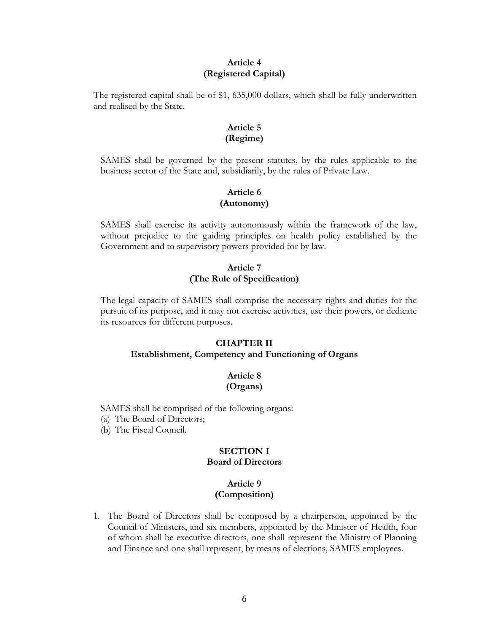#### **Article 4 (Registered Capital)**

The registered capital shall be of \$1, 635,000 dollars, which shall be fully underwritten and realised by the State.

## **Article 5 (Regime)**

SAMES shall be governed by the present statutes, by the rules applicable to the business sector of the State and, subsidiarily, by the rules of Private Law.

## **Article 6 (Autonomy)**

SAMES shall exercise its activity autonomously within the framework of the law, without prejudice to the guiding principles on health policy established by the Government and to supervisory powers provided for by law.

## **Article 7 (The Rule of Specification)**

The legal capacity of SAMES shall comprise the necessary rights and duties for the pursuit of its purpose, and it may not exercise activities, use their powers, or dedicate its resources for different purposes.

#### **CHAPTER II**

#### **Establishment, Competency and Functioning of Organs**

#### **Article 8 (Organs)**

SAMES shall be comprised of the following organs:

- (a) The Board of Directors;
- (b) The Fiscal Council.

## **SECTION I Board of Directors**

## **Article 9 (Composition)**

1. The Board of Directors shall be composed by a chairperson, appointed by the Council of Ministers, and six members, appointed by the Minister of Health, four of whom shall be executive directors, one shall represent the Ministry of Planning and Finance and one shall represent, by means of elections, SAMES employees.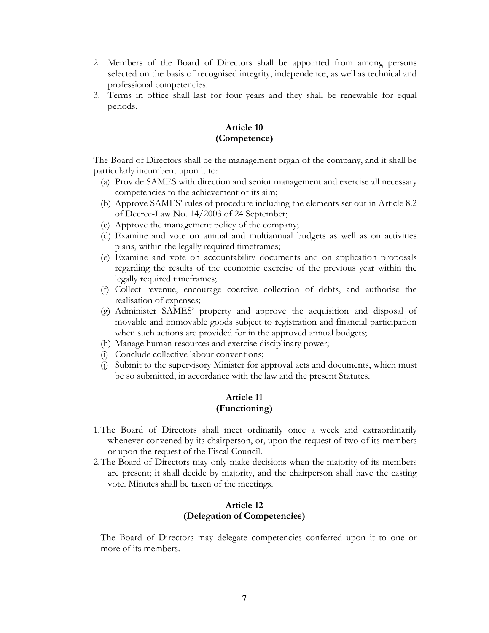- 2. Members of the Board of Directors shall be appointed from among persons selected on the basis of recognised integrity, independence, as well as technical and professional competencies.
- 3. Terms in office shall last for four years and they shall be renewable for equal periods.

## **Article 10 (Competence)**

The Board of Directors shall be the management organ of the company, and it shall be particularly incumbent upon it to:

- (a) Provide SAMES with direction and senior management and exercise all necessary competencies to the achievement of its aim;
- (b) Approve SAMES' rules of procedure including the elements set out in Article 8.2 of Decree-Law No. 14/2003 of 24 September;
- (c) Approve the management policy of the company;
- (d) Examine and vote on annual and multiannual budgets as well as on activities plans, within the legally required timeframes;
- (e) Examine and vote on accountability documents and on application proposals regarding the results of the economic exercise of the previous year within the legally required timeframes;
- (f) Collect revenue, encourage coercive collection of debts, and authorise the realisation of expenses;
- (g) Administer SAMES' property and approve the acquisition and disposal of movable and immovable goods subject to registration and financial participation when such actions are provided for in the approved annual budgets;
- (h) Manage human resources and exercise disciplinary power;
- (i) Conclude collective labour conventions;
- (j) Submit to the supervisory Minister for approval acts and documents, which must be so submitted, in accordance with the law and the present Statutes.

## **Article 11 (Functioning)**

- 1. The Board of Directors shall meet ordinarily once a week and extraordinarily whenever convened by its chairperson, or, upon the request of two of its members or upon the request of the Fiscal Council.
- 2. The Board of Directors may only make decisions when the majority of its members are present; it shall decide by majority, and the chairperson shall have the casting vote. Minutes shall be taken of the meetings.

## **Article 12 (Delegation of Competencies)**

The Board of Directors may delegate competencies conferred upon it to one or more of its members.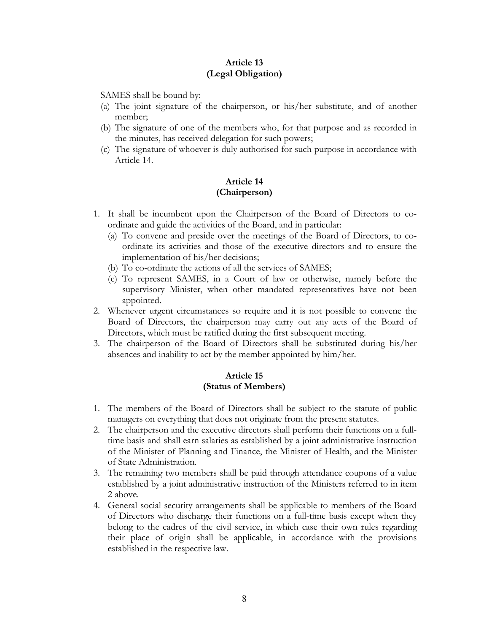#### **Article 13 (Legal Obligation)**

SAMES shall be bound by:

- (a) The joint signature of the chairperson, or his/her substitute, and of another member;
- (b) The signature of one of the members who, for that purpose and as recorded in the minutes, has received delegation for such powers;
- (c) The signature of whoever is duly authorised for such purpose in accordance with Article 14.

#### **Article 14 (Chairperson)**

- 1. It shall be incumbent upon the Chairperson of the Board of Directors to coordinate and guide the activities of the Board, and in particular:
	- (a) To convene and preside over the meetings of the Board of Directors, to coordinate its activities and those of the executive directors and to ensure the implementation of his/her decisions;
	- (b) To co-ordinate the actions of all the services of SAMES;
	- (c) To represent SAMES, in a Court of law or otherwise, namely before the supervisory Minister, when other mandated representatives have not been appointed.
- 2. Whenever urgent circumstances so require and it is not possible to convene the Board of Directors, the chairperson may carry out any acts of the Board of Directors, which must be ratified during the first subsequent meeting.
- 3. The chairperson of the Board of Directors shall be substituted during his/her absences and inability to act by the member appointed by him/her.

#### **Article 15 (Status of Members)**

- 1. The members of the Board of Directors shall be subject to the statute of public managers on everything that does not originate from the present statutes.
- 2. The chairperson and the executive directors shall perform their functions on a fulltime basis and shall earn salaries as established by a joint administrative instruction of the Minister of Planning and Finance, the Minister of Health, and the Minister of State Administration.
- 3. The remaining two members shall be paid through attendance coupons of a value established by a joint administrative instruction of the Ministers referred to in item 2 above.
- 4. General social security arrangements shall be applicable to members of the Board of Directors who discharge their functions on a full-time basis except when they belong to the cadres of the civil service, in which case their own rules regarding their place of origin shall be applicable, in accordance with the provisions established in the respective law.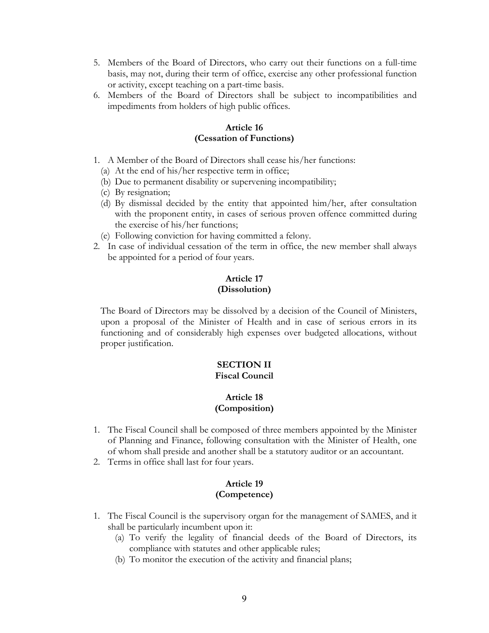- 5. Members of the Board of Directors, who carry out their functions on a full-time basis, may not, during their term of office, exercise any other professional function or activity, except teaching on a part-time basis.
- 6. Members of the Board of Directors shall be subject to incompatibilities and impediments from holders of high public offices.

#### **Article 16 (Cessation of Functions)**

- 1. A Member of the Board of Directors shall cease his/her functions:
	- (a) At the end of his/her respective term in office;
	- (b) Due to permanent disability or supervening incompatibility;
	- (c) By resignation;
	- (d) By dismissal decided by the entity that appointed him/her, after consultation with the proponent entity, in cases of serious proven offence committed during the exercise of his/her functions;
- (e) Following conviction for having committed a felony.
- 2. In case of individual cessation of the term in office, the new member shall always be appointed for a period of four years.

## **Article 17 (Dissolution)**

The Board of Directors may be dissolved by a decision of the Council of Ministers, upon a proposal of the Minister of Health and in case of serious errors in its functioning and of considerably high expenses over budgeted allocations, without proper justification.

## **SECTION II Fiscal Council**

#### **Article 18 (Composition)**

- 1. The Fiscal Council shall be composed of three members appointed by the Minister of Planning and Finance, following consultation with the Minister of Health, one of whom shall preside and another shall be a statutory auditor or an accountant.
- 2. Terms in office shall last for four years.

## **Article 19 (Competence)**

- 1. The Fiscal Council is the supervisory organ for the management of SAMES, and it shall be particularly incumbent upon it:
	- (a) To verify the legality of financial deeds of the Board of Directors, its compliance with statutes and other applicable rules;
	- (b) To monitor the execution of the activity and financial plans;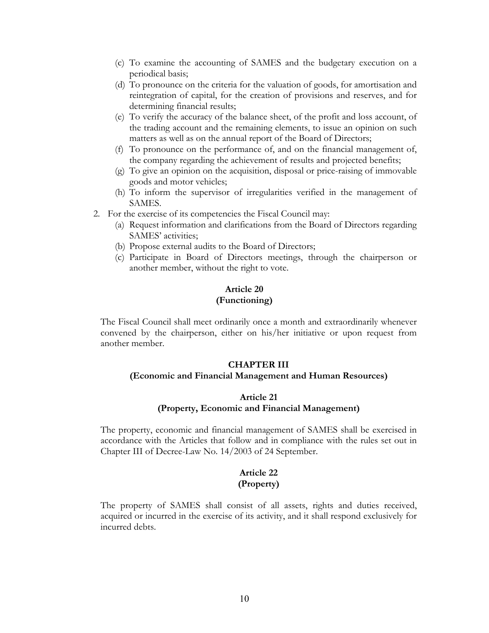- (c) To examine the accounting of SAMES and the budgetary execution on a periodical basis;
- (d) To pronounce on the criteria for the valuation of goods, for amortisation and reintegration of capital, for the creation of provisions and reserves, and for determining financial results;
- (e) To verify the accuracy of the balance sheet, of the profit and loss account, of the trading account and the remaining elements, to issue an opinion on such matters as well as on the annual report of the Board of Directors;
- (f) To pronounce on the performance of, and on the financial management of, the company regarding the achievement of results and projected benefits;
- (g) To give an opinion on the acquisition, disposal or price-raising of immovable goods and motor vehicles;
- (h) To inform the supervisor of irregularities verified in the management of SAMES.
- 2. For the exercise of its competencies the Fiscal Council may:
	- (a) Request information and clarifications from the Board of Directors regarding SAMES' activities;
	- (b) Propose external audits to the Board of Directors;
	- (c) Participate in Board of Directors meetings, through the chairperson or another member, without the right to vote.

## **Article 20 (Functioning)**

The Fiscal Council shall meet ordinarily once a month and extraordinarily whenever convened by the chairperson, either on his/her initiative or upon request from another member.

#### **CHAPTER III**

#### **(Economic and Financial Management and Human Resources)**

#### **Article 21**

#### **(Property, Economic and Financial Management)**

The property, economic and financial management of SAMES shall be exercised in accordance with the Articles that follow and in compliance with the rules set out in Chapter III of Decree-Law No. 14/2003 of 24 September.

## **Article 22 (Property)**

The property of SAMES shall consist of all assets, rights and duties received, acquired or incurred in the exercise of its activity, and it shall respond exclusively for incurred debts.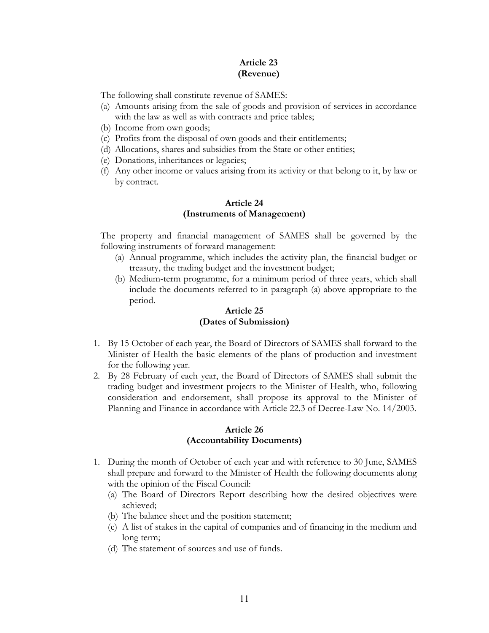## **Article 23 (Revenue)**

The following shall constitute revenue of SAMES:

- (a) Amounts arising from the sale of goods and provision of services in accordance with the law as well as with contracts and price tables;
- (b) Income from own goods;
- (c) Profits from the disposal of own goods and their entitlements;
- (d) Allocations, shares and subsidies from the State or other entities;
- (e) Donations, inheritances or legacies;
- (f) Any other income or values arising from its activity or that belong to it, by law or by contract.

## **Article 24 (Instruments of Management)**

The property and financial management of SAMES shall be governed by the following instruments of forward management:

- (a) Annual programme, which includes the activity plan, the financial budget or treasury, the trading budget and the investment budget;
- (b) Medium-term programme, for a minimum period of three years, which shall include the documents referred to in paragraph (a) above appropriate to the period.

#### **Article 25 (Dates of Submission)**

- 1. By 15 October of each year, the Board of Directors of SAMES shall forward to the Minister of Health the basic elements of the plans of production and investment for the following year.
- 2. By 28 February of each year, the Board of Directors of SAMES shall submit the trading budget and investment projects to the Minister of Health, who, following consideration and endorsement, shall propose its approval to the Minister of Planning and Finance in accordance with Article 22.3 of Decree-Law No. 14/2003.

## **Article 26 (Accountability Documents)**

- 1. During the month of October of each year and with reference to 30 June, SAMES shall prepare and forward to the Minister of Health the following documents along with the opinion of the Fiscal Council:
	- (a) The Board of Directors Report describing how the desired objectives were achieved;
	- (b) The balance sheet and the position statement;
	- (c) A list of stakes in the capital of companies and of financing in the medium and long term;
	- (d) The statement of sources and use of funds.